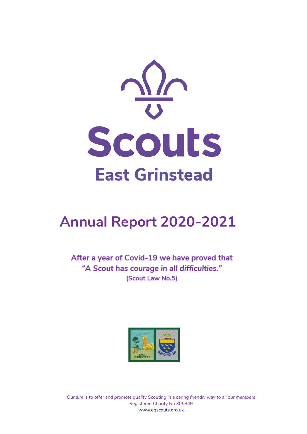

# **Annual Report 2020-2021**

After a year of Covid-19 we have proved that "A Scout has courage in all difficulties." (Scout Law No.5)



*Our aim is to offer and promote quality Scouting in a caring friendly way to all our members* Registered Charity No 305849 [www.egscouts.org.uk](http://www.egscouts.org.uk/)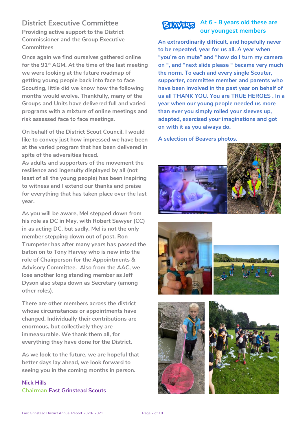## **District Executive Committee**

**Providing active support to the District Commissioner and the Group Executive Committees**

**Once again we find ourselves gathered online for the 91st AGM. At the time of the last meeting we were looking at the future roadmap of getting young people back into face to face Scouting, little did we know how the following months would evolve. Thankfully, many of the Groups and Units have delivered full and varied programs with a mixture of online meetings and risk assessed face to face meetings.** 

**On behalf of the District Scout Council, I would like to convey just how impressed we have been at the varied program that has been delivered in spite of the adversities faced.** 

**As adults and supporters of the movement the resilience and ingenuity displayed by all (not least of all the young people) has been inspiring to witness and I extend our thanks and praise for everything that has taken place over the last year.**

**As you will be aware, Mel stepped down from his role as DC in May, with Robert Sawyer (CC) in as acting DC, but sadly, Mel is not the only member stepping down out of post. Ron Trumpeter has after many years has passed the baton on to Tony Harvey who is new into the role of Chairperson for the Appointments & Advisory Committee. Also from the AAC, we lose another long standing member as Jeff Dyson also steps down as Secretary (among other roles).** 

**There are other members across the district whose circumstances or appointments have changed. Individually their contributions are enormous, but collectively they are immeasurable. We thank them all, for everything they have done for the District,** 

**As we look to the future, we are hopeful that better days lay ahead, we look forward to seeing you in the coming months in person.**

#### **Nick Hills Chairman East Grinstead Scouts**



### **At 6 - 8 years old these are our youngest members**

**An extraordinarily difficult, and hopefully never to be repeated, year for us all. A year when "you're on mute" and "how do I turn my camera on ", and "next slide please " became very much the norm. To each and every single Scouter, supporter, committee member and parents who have been involved in the past year on behalf of us all THANK YOU. You are TRUE HEROES . In a year when our young people needed us more than ever you simply rolled your sleeves up, adapted, exercised your imaginations and got on with it as you always do.**

**A selection of Beavers photos.**







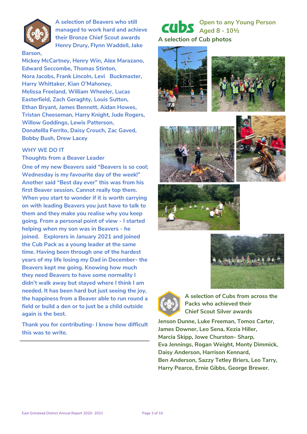

**A selection of Beavers who still managed to work hard and achieve their Bronze Chief Scout awards Henry Drury, Flynn Waddell, Jake** 

**Barson,**

**Mickey McCartney, Henry Win, Alex Marazano, Edward Seccombe, Thomas Stinton, Nora Jacobs, Frank Lincoln, Levi Buckmaster, Harry Whittaker, Kian O'Mahoney, Melissa Freeland, William Wheeler, Lucas Easterfield, Zach Geraghty, Louis Sutton, Ethan Bryant, James Bennett, Aidan Howes, Tristan Cheeseman, Harry Knight, Jude Rogers, Willow Goddings, Lewis Patterson, Donatellla Ferrito, Daisy Crouch, Zac Gaved, Bobby Bush, Drew Lacey**

#### **WHY WE DO IT**

**Thoughts from a Beaver Leader**

**One of my new Beavers said "Beavers is so cool; Wednesday is my favourite day of the week!" Another said "Best day ever" this was from his first Beaver session. Cannot really top them. When you start to wonder if it is worth carrying on with leading Beavers you just have to talk to them and they make you realise why you keep going. From a personal point of view - I started helping when my son was in Beavers - he joined. Explorers in January 2021 and joined the Cub Pack as a young leader at the same time. Having been through one of the hardest years of my life losing my Dad in December- the Beavers kept me going. Knowing how much they need Beavers to have some normality I didn't walk away but stayed where I think I am needed. It has been hard but just seeing the joy, the happiness from a Beaver able to run round a field or build a den or to just be a child outside again is the best.**

**Thank you for contributing- I know how difficult this was to write.**

#### **Open to any Young Person** *cub* **Aged 8 - 10½ A selection of Cub photos**















**A selection of Cubs from across the Packs who achieved their Chief Scout Silver awards**

**Jenson Dunne, Luke Freeman, Tomos Carter, James Downer, Leo Sena, Kezia Hiller, Marcia Skipp, Jowe Churston- Sharp, Eva Jennings, Rogan Weight, Monty Dimmick, Daisy Anderson, Harrison Kennard, Ben Anderson, Sazzy Tetley Briers, Leo Tarry, Harry Pearce, Ernie Gibbs, George Brewer.**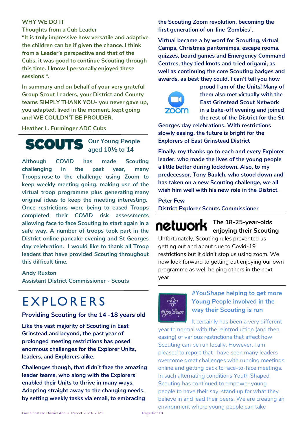#### **WHY WE DO IT**

**Thoughts from a Cub Leader**

**"It is truly impressive how versatile and adaptive the children can be if given the chance. I think from a Leader's perspective and that of the Cubs, it was good to continue Scouting through this time. I know I personally enjoyed these sessions ".**

**In summary and on behalf of your very grateful Group Scout Leaders, your District and County teams SIMPLY THANK YOU- you never gave up, you adapted, lived in the moment, kept going and WE COULDN'T BE PROUDER.**

**Heather L. Furminger ADC Cubs**



**Our Young People aged 10½ to 14**

**Although COVID has made Scouting challenging in the past year, many Troops rose to the challenge using Zoom to keep weekly meeting going, making use of the virtual troop programme plus generating many original ideas to keep the meeting interesting. Once restrictions were being to eased Troops completed their COVID risk assessments allowing face to face Scouting to start again in a safe way. A number of troops took part in the District online pancake evening and St Georges day celebration. I would like to thank all Troop leaders that have provided Scouting throughout this difficult time.**

**Andy Ruxton**

**Assistant District Commissioner - Scouts**

## EXPLORERS

#### **Providing Scouting for the 14 -18 years old**

**Like the vast majority of Scouting in East Grinstead and beyond, the past year of prolonged meeting restrictions has posed enormous challenges for the Explorer Units, leaders, and Explorers alike.**

**Challenges though, that didn't faze the amazing leader teams, who along with the Explorers enabled their Units to thrive in many ways. Adapting straight away to the changing needs, by setting weekly tasks via email, to embracing** 

**the Scouting Zoom revolution, becoming the first generation of on-line 'Zombies'.**

**Virtual became a by word for Scouting, virtual Camps, Christmas pantomimes, escape rooms, quizzes, board games and Emergency Command Centres, they tied knots and tried origami, as well as continuing the core Scouting badges and awards, as best they could. I can't tell you how**



**proud I am of the Units! Many of them also met virtually with the East Grinstead Scout Network in a bake-off evening and joined the rest of the District for the St** 

**Georges day celebrations. With restrictions slowly easing, the future is bright for the Explorers of East Grinstead District**

**Finally, my thanks go to each and every Explorer leader, who made the lives of the young people a little better during lockdown. Also, to my predecessor, Tony Baulch, who stood down and has taken on a new Scouting challenge, we all wish him well with his new role in the District.**

**Peter Few District Explorer Scouts Commissioner**

## network

## **The 18-25-year-olds enjoying their Scouting**

Unfortunately, Scouting rules prevented us getting out and about due to Covid-19 restrictions but it didn't stop us using zoom. We now look forward to getting out enjoying our own programme as well helping others in the next year.



*#YouShape* **helping to get more Young People involved in the way their Scouting is run**

It certainly has been a very different year to normal with the reintroduction (and then easing) of various restrictions that affect how Scouting can be run locally. However, I am pleased to report that I have seen many leaders overcome great challenges with running meetings online and getting back to face-to-face meetings. In such alternating conditions Youth Shaped Scouting has continued to empower young people to have their say, stand up for what they believe in and lead their peers. We are creating an environment where young people can take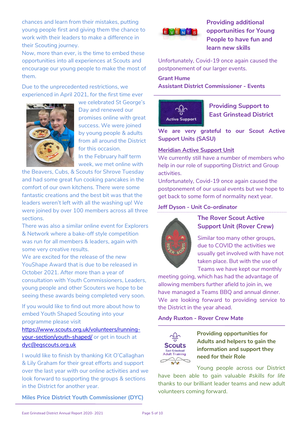chances and learn from their mistakes, putting young people first and giving them the chance to work with their leaders to make a difference in their Scouting journey.

Now, more than ever, is the time to embed these opportunities into all experiences at Scouts and encourage our young people to make the most of them.

Due to the unprecedented restrictions, we experienced in April 2021, for the first time ever



we celebrated St George's Day and renewed our promises online with great success. We were joined by young people & adults from all around the District for this occasion. In the February half term week, we met online with

the Beavers, Cubs, & Scouts for Shrove Tuesday and had some great fun cooking pancakes in the comfort of our own kitchens. There were some fantastic creations and the best bit was that the leaders weren't left with all the washing up! We were joined by over 100 members across all three sections.

There was also a similar online event for Explorers & Network where a bake-off style competition was run for all members & leaders, again with some very creative results.

We are excited for the release of the new YouShape Award that is due to be released in October 2021. After more than a year of consultation with Youth Commissioners, Leaders, young people and other Scouters we hope to be seeing these awards being completed very soon.

If you would like to find out more about how to embed Youth Shaped Scouting into your programme please visit

[https://www.scouts.org.uk/volunteers/running](https://www.scouts.org.uk/volunteers/running-your-section/youth-shaped/)[your-section/youth-shaped/](https://www.scouts.org.uk/volunteers/running-your-section/youth-shaped/) or get in touch at [dyc@egscouts.org.uk](mailto:dyc@egscouts.org.uk)

I would like to finish by thanking Kit O'Callaghan & Lily Graham for their great efforts and support over the last year with our online activities and we look forward to supporting the groups & sections in the District for another year.

**Miles Price District Youth Commissioner (DYC)**



## **Providing additional opportunities for Young People to have fun and learn new skills**

Unfortunately, Covid-19 once again caused the postponement of our larger events.

#### **Grant Hume**

**Assistant District Commissioner - Events**



**Providing Support to East Grinstead District**

**We are very grateful to our Scout Active Support Units (SASU)**

#### **Meridian Active Support Unit**

We currently still have a number of members who help in our role of supporting District and Group activities.

Unfortunately, Covid-19 once again caused the postponement of our usual events but we hope to get back to some form of normality next year.

**Jeff Dyson - Unit Co-ordinator**



## **The Rover Scout Active Support Unit (Rover Crew)**

Similar too many other groups, due to COVID the activities we usually get involved with have not taken place. But with the use of Teams we have kept our monthly

meeting going, which has had the advantage of allowing members further afield to join in, we have managed a Teams BBQ and annual dinner. We are looking forward to providing service to the District in the year ahead.

#### **Andy Ruxton - Rover Crew Mate**



**Providing opportunities for Adults and helpers to gain the information and support they need for their Role** 

Young people across our District have been able to gain valuable *#skills for life* thanks to our brilliant leader teams and new adult volunteers coming forward.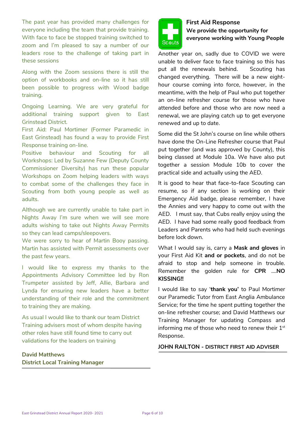The past year has provided many challenges for everyone including the team that provide training. With face to face be stopped training switched to zoom and I'm pleased to say a number of our leaders rose to the challenge of taking part in these sessions

Along with the Zoom sessions there is still the option of workbooks and on-line so it has still been possible to progress with Wood badge training.

Ongoing Learning. We are very grateful for additional training support given to East Grinstead District.

First Aid: Paul Mortimer (Former Paramedic in East Grinstead) has found a way to provide First Response training on-line.

Positive behaviour and Scouting for all Workshops: Led by Suzanne Few (Deputy County Commissioner Diversity) has run these popular Workshops on Zoom helping leaders with ways to combat some of the challenges they face in Scouting from both young people as well as adults.

Although we are currently unable to take part in Nights Away I'm sure when we will see more adults wishing to take out Nights Away Permits so they can lead camps/sleepovers.

We were sorry to hear of Martin Booy passing. Martin has assisted with Permit assessments over the past few years.

I would like to express my thanks to the Appointments Advisory Committee led by Ron Trumpeter assisted by Jeff, Allie, Barbara and Lynda for ensuring new leaders have a better understanding of their role and the commitment to training they are making.

As usual I would like to thank our team District Training advisers most of whom despite having other roles have still found time to carry out validations for the leaders on training

**Sceuts** 

## **First Aid Response We provide the opportunity for everyone working with Young People**

Another year on, sadly due to COVID we were unable to deliver face to face training so this has put all the renewals behind. Scouting has changed everything. There will be a new eighthour course coming into force, however, in the meantime, with the help of Paul who put together an on-line refresher course for those who have attended before and those who are now need a renewal, we are playing catch up to get everyone renewed and up to date.

Some did the St John's course on line while others have done the On-Line Refresher course that Paul put together (and was approved by County), this being classed at Module 10a. We have also put together a session Module 10b to cover the practical side and actually using the AED.

It is good to hear that face-to-face Scouting can resume, so if any section is working on their Emergency Aid badge, please remember, I have the Annies and very happy to come out with the AED. I must say, that Cubs really enjoy using the AED. I have had some really good feedback from Leaders and Parents who had held such evenings before lock down.

What I would say is, carry a **Mask and gloves** in your First Aid Kit **and or pockets**, and do not be afraid to stop and help someone in trouble. Remember the golden rule for **CPR** ....**NO KISSING!!**

I would like to say '**thank you'** to Paul Mortimer our Paramedic Tutor from East Anglia Ambulance Service; for the time he spent putting together the on-line refresher course; and David Matthews our Training Manager for updating Compass and informing me of those who need to renew their  $1^\mathrm{st}$ Response.

**JOHN RAILTON - DISTRICT FIRST AID ADVISER**

**David Matthews District Local Training Manager**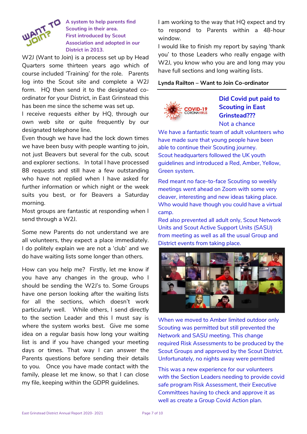

**A system to help parents find Scouting in their area. First introduced by Scout Association and adopted in our District in 2013.**

W2J (Want to Join) is a process set up by Head Quarters some thirteen years ago which of course included 'Training' for the role. Parents log into the Scout site and complete a W2J form. HQ then send it to the designated coordinator for your District, in East Grinstead this has been me since the scheme was set up.

I receive requests either by HQ, through our own web site or quite frequently by our designated telephone line.

Even though we have had the lock down times we have been busy with people wanting to join, not just Beavers but several for the cub, scout and explorer sections. In total I have processed 88 requests and still have a few outstanding who have not replied when I have asked for further information or which night or the week suits you best, or for Beavers a Saturday morning.

Most groups are fantastic at responding when I send through a W2J.

Some new Parents do not understand we are all volunteers, they expect a place immediately. I do politely explain we are not a 'club' and we do have waiting lists some longer than others.

How can you help me? Firstly, let me know if you have any changes in the group, who I should be sending the W2J's to. Some Groups have one person looking after the waiting lists for all the sections, which doesn't work particularly well. While others, I send directly to the section Leader and this I must say is where the system works best. Give me some idea on a regular basis how long your waiting list is and if you have changed your meeting days or times. That way I can answer the Parents questions before sending their details to you. Once you have made contact with the family, please let me know, so that I can close my file, keeping within the GDPR guidelines.

I am working to the way that HQ expect and try to respond to Parents within a 48-hour window.

I would like to finish my report by saying 'thank you' to those Leaders who really engage with W2J, you know who you are and long may you have full sections and long waiting lists.

#### **Lynda Railton – Want to Join Co-ordinator**



## **Did Covid put paid to Scouting in East Grinstead???** Not a chance

We have a fantastic team of adult volunteers who have made sure that young people have been able to continue their Scouting journey. Scout headquarters followed the UK youth guidelines and introduced a Red, Amber, Yellow, Green system.

Red meant no face-to-face Scouting so weekly meetings went ahead on Zoom with some very cleaver, interesting and new ideas taking place. Who would have though you could have a virtual camp.

Red also prevented all adult only, Scout Network Units and Scout Active Support Units (SASU) from meeting as well as all the usual Group and District events from taking place.



When we moved to Amber limited outdoor only Scouting was permitted but still prevented the Network and SASU meeting. This change required Risk Assessments to be produced by the Scout Groups and approved by the Scout District. Unfortunately, no nights away were permitted

This was a new experience for our volunteers with the Section Leaders needing to provide covid safe program Risk Assessment, their Executive Committees having to check and approve it as well as create a Group Covid Action plan.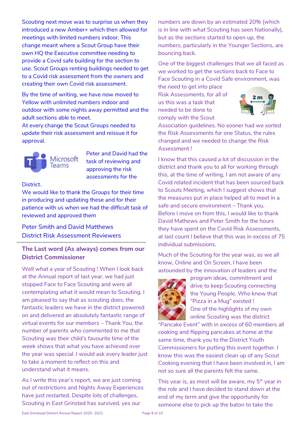Scouting next move was to surprise us when they introduced a new Amber+ which then allowed for meetings with limited numbers indoor. This change meant where a Scout Group have their own HQ the Executive committee needing to provide a Covid safe building for the section to use. Scout Groups renting buildings needed to get to a Covid risk assessment from the owners and creating their own Covid risk assessment.

By the time of writing, we have now moved to Yellow with unlimited numbers indoor and outdoor with some nights away permitted and the adult sections able to meet.

At every change the Scout Groups needed to update their risk assessment and reissue it for approval.



Peter and David had the task of reviewing and approving the risk assessments for the

#### **District**

We would like to thank the Groups for their time in producing and updating these and for their patience with us when we had the difficult task of reviewed and approved them

Peter Smith and David Matthews District Risk Assessment Reviewers

### **The Last word (As always) comes from our District Commissioner**

Well what a year of Scouting ! When I look back at the Annual report of last year, we had just stopped Face to Face Scouting and were all contemplating what it would mean to Scouting. I am pleased to say that as scouting does, the fantastic leaders we have in the district powered on and delivered an absolutely fantastic range of virtual events for our members – Thank You, the number of parents who commented to me that Scouting was their child's favourite time of the week shows that what you have achieved over the year was special. I would ask every leader just to take a moment to reflect on this and understand what it means.

As I write this year's report, we are just coming out of restrictions and Nights Away Experiences have just restarted. Despite lots of challenges, Scouting in East Grinsted has survived, yes our

numbers are down by an estimated 20% (which is in line with what Scouting has seen Nationally), but as the sections started to open up, the numbers, particularly in the Younger Sections, are bouncing back.

One of the biggest challenges that we all faced as we worked to get the sections back to Face to Face Scouting in a Covid Safe environment, was

the need to get into place Risk Assessments, for all of us this was a task that needed to be done to comply with the Scout



Association guidelines. No sooner had we sorted the Risk Assessments for one Status, the rules changed and we needed to change the Risk Assessment !

I know that this caused a lot of discussion in the district and thank you to all for working through this, at the time of writing, I am not aware of any Covid related incident that has been sourced back to Scouts Meeting, which I suggest shows that the measures put in place helped all to meet in a safe and secure environment – Thank you. Before I move on from this, I would like to thank David Mathews and Peter Smith for the hours they have spent on the Covid Risk Assessments, at last count I believe that this was in excess of 75 individual submissions.

Much of the Scouting for the year was, as we all know, Online and On Screen, I have been astounded by the innovation of leaders and the



program ideas, commitment and drive to keep Scouting connecting the Young People. Who knew that "Pizza in a Mug" existed ! One of the highlights of my own online Scouting was the district

"Pancake Event" with in excess of 60 members all cooking and flipping pancakes at home at the same time, thank you to the District Youth Commissioners for putting this event together. I know this was the easiest clean up of any Scout Cooking evening that I have been involved in, I am not so sure all the parents felt the same.

This year is, as most will be aware, my  $5<sup>th</sup>$  year in the role and I have decided to stand down at the end of my term and give the opportunity for someone else to pick up the baton to take the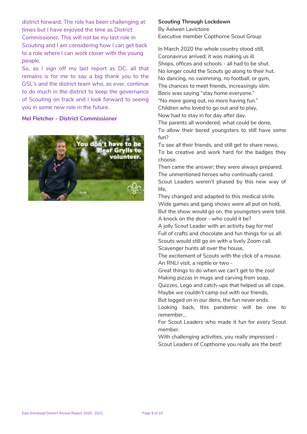district forward. The role has been challenging at times but I have enjoyed the time as District Commissioner. This will not be my last role in Scouting and I am considering how I can get back to a role where I can work closer with the young people.

So, as I sign off my last report as DC, all that remains is for me to say a big thank you to the GSL's and the district team who, as ever, continue to do much in the district to keep the governance of Scouting on track and I look forward to seeing you in some new role in the future.

#### **Mel Fletcher - District Commissioner**



#### **Scouting Through Lockdown**

By Aelwen Lavictoire Executive member Copthorne Scout Group

In March 2020 the whole country stood still, Coronavirus arrived; it was making us ill. Shops, offices and schools - all had to be shut. No longer could the Scouts go along to their hut. No dancing, no swimming, no football, or gym, The chances to meet friends, increasingly slim. Boris was saying "stay home everyone." "No more going out, no more having fun."

Children who loved to go out and to play,

Now had to stay in for day after day.

The parents all wondered; what could be done, To allow their bored youngsters to still have some fun?

To see all their friends, and still get to share news, To be creative and work hard for the badges they choose.

Then came the answer; they were always prepared. The unmentioned heroes who continually cared.

Scout Leaders weren't phased by this new way of life,

They changed and adapted to this medical strife. Wide games and gang shows were all put on hold, But the show would go on, the youngsters were told. A knock on the door - who could it be?

A jolly Scout Leader with an activity bag for me! Full of crafts and chocolate and fun things for us all. Scouts would still go on with a lively Zoom call. Scavenger hunts all over the house,

The excitement of Scouts with the click of a mouse. An RNLI visit, a reptile or two -

Great things to do when we can't get to the zoo! Making pizzas in mugs and carving from soap, Quizzes, Lego and catch-ups that helped us all cope. Maybe we couldn't camp out with our friends,

But logged on in our dens, the fun never ends.

Looking back, this pandemic will be one to remember…

For Scout Leaders who made it fun for every Scout member.

With challenging activities, you really impressed - Scout Leaders of Copthorne you really are the best!